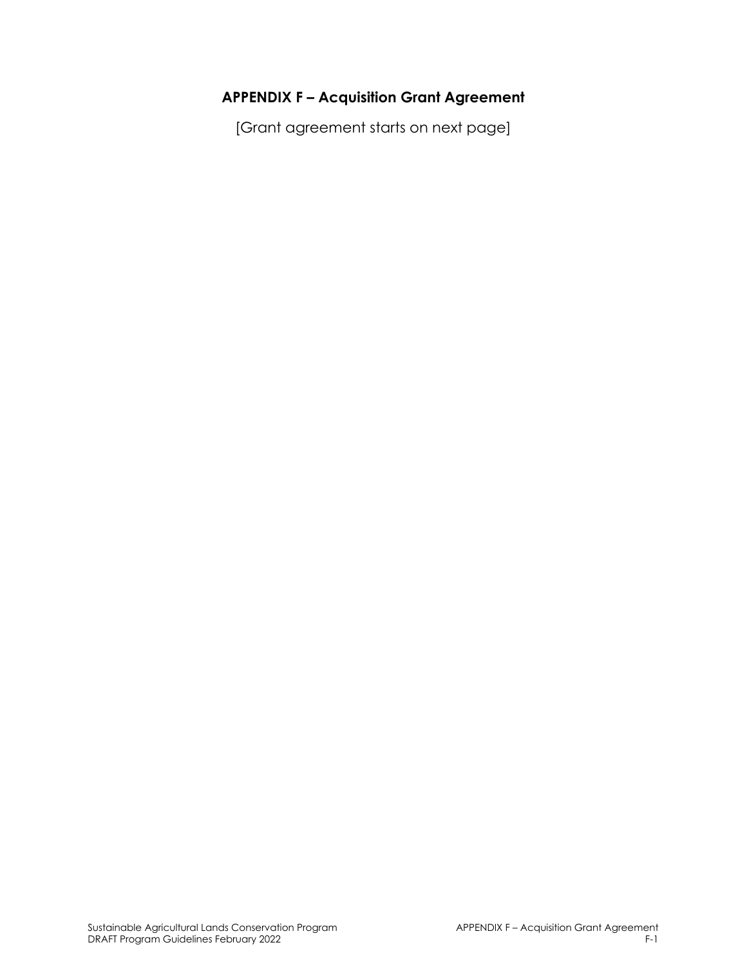# **APPENDIX F – Acquisition Grant Agreement**

[Grant agreement starts on next page]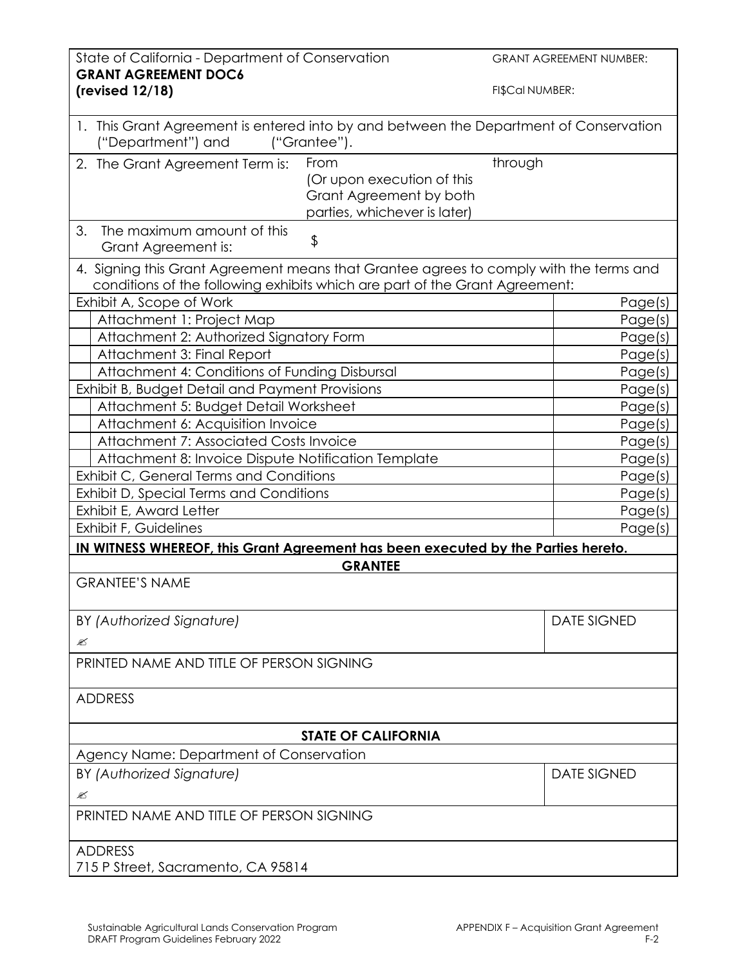| State of California - Department of Conservation<br><b>GRANT AGREEMENT DOC6</b>                                                                                       |                                                                                               | <b>GRANT AGREEMENT NUMBER:</b> |  |
|-----------------------------------------------------------------------------------------------------------------------------------------------------------------------|-----------------------------------------------------------------------------------------------|--------------------------------|--|
| (revised 12/18)                                                                                                                                                       |                                                                                               | FI\$Cal NUMBER:                |  |
| 1. This Grant Agreement is entered into by and between the Department of Conservation<br>("Department") and                                                           | ("Grantee").                                                                                  |                                |  |
| 2. The Grant Agreement Term is:                                                                                                                                       | From<br>(Or upon execution of this<br>Grant Agreement by both<br>parties, whichever is later) | through                        |  |
| 3.<br>The maximum amount of this<br>Grant Agreement is:                                                                                                               | \$                                                                                            |                                |  |
| 4. Signing this Grant Agreement means that Grantee agrees to comply with the terms and<br>conditions of the following exhibits which are part of the Grant Agreement: |                                                                                               |                                |  |
| Exhibit A, Scope of Work                                                                                                                                              |                                                                                               | Page(s)                        |  |
| Attachment 1: Project Map                                                                                                                                             |                                                                                               | Page(s)                        |  |
| Attachment 2: Authorized Signatory Form                                                                                                                               |                                                                                               | Page(s)                        |  |
| Attachment 3: Final Report                                                                                                                                            |                                                                                               | Page(s)                        |  |
| Attachment 4: Conditions of Funding Disbursal                                                                                                                         |                                                                                               | Page(s)                        |  |
| Exhibit B, Budget Detail and Payment Provisions                                                                                                                       |                                                                                               | Page(s)                        |  |
| Attachment 5: Budget Detail Worksheet                                                                                                                                 |                                                                                               | Page(s)                        |  |
| Attachment 6: Acquisition Invoice                                                                                                                                     |                                                                                               | Page(s)                        |  |
| Attachment 7: Associated Costs Invoice                                                                                                                                |                                                                                               | Page(s)                        |  |
| Attachment 8: Invoice Dispute Notification Template                                                                                                                   |                                                                                               | Page(s)                        |  |
| Exhibit C, General Terms and Conditions                                                                                                                               |                                                                                               | Page(s)                        |  |
| Exhibit D, Special Terms and Conditions                                                                                                                               |                                                                                               | Page(s)                        |  |
| Exhibit E, Award Letter                                                                                                                                               |                                                                                               | Page(s)                        |  |
| Exhibit F, Guidelines                                                                                                                                                 |                                                                                               | Page(s)                        |  |
| IN WITNESS WHEREOF, this Grant Agreement has been executed by the Parties hereto.                                                                                     |                                                                                               |                                |  |
|                                                                                                                                                                       | <b>GRANTEE</b>                                                                                |                                |  |
| <b>GRANTEE'S NAME</b>                                                                                                                                                 |                                                                                               |                                |  |
|                                                                                                                                                                       |                                                                                               |                                |  |
| BY (Authorized Signature)                                                                                                                                             |                                                                                               | <b>DATE SIGNED</b>             |  |
| ≤                                                                                                                                                                     |                                                                                               |                                |  |
| PRINTED NAME AND TITLE OF PERSON SIGNING                                                                                                                              |                                                                                               |                                |  |
| <b>ADDRESS</b>                                                                                                                                                        |                                                                                               |                                |  |
| <b>STATE OF CALIFORNIA</b>                                                                                                                                            |                                                                                               |                                |  |
| Agency Name: Department of Conservation                                                                                                                               |                                                                                               |                                |  |
| BY (Authorized Signature)                                                                                                                                             |                                                                                               | <b>DATE SIGNED</b>             |  |
| Ø                                                                                                                                                                     |                                                                                               |                                |  |
| PRINTED NAME AND TITLE OF PERSON SIGNING                                                                                                                              |                                                                                               |                                |  |
|                                                                                                                                                                       |                                                                                               |                                |  |
| <b>ADDRESS</b><br>715 P Street, Sacramento, CA 95814                                                                                                                  |                                                                                               |                                |  |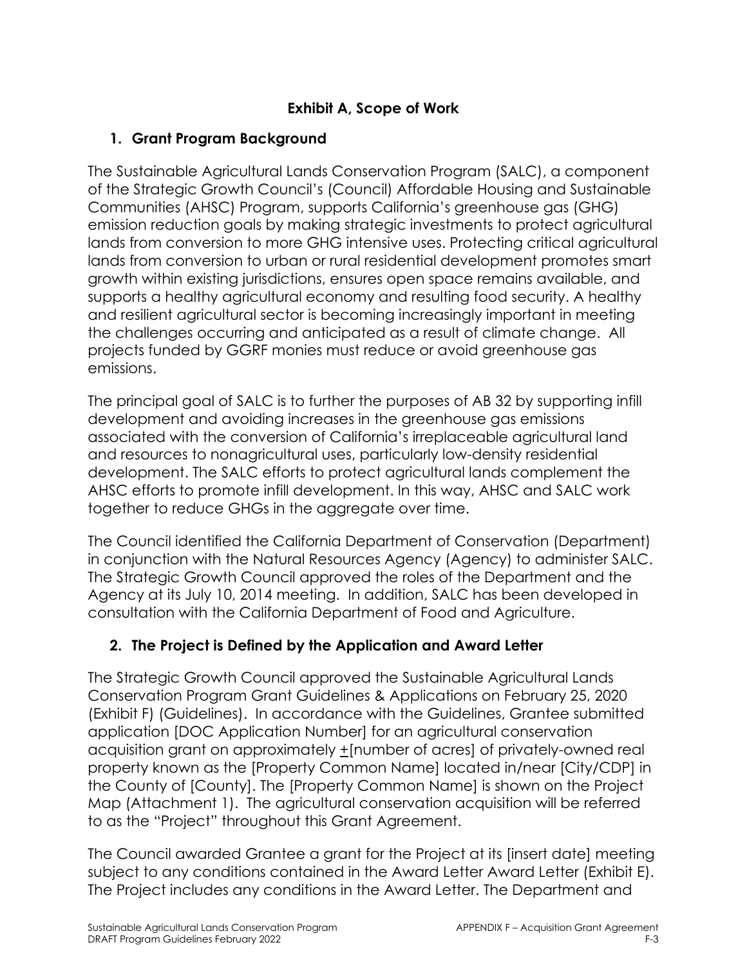### **Exhibit A, Scope of Work**

### **1. Grant Program Background**

The Sustainable Agricultural Lands Conservation Program (SALC), a component of the Strategic Growth Council's (Council) Affordable Housing and Sustainable Communities (AHSC) Program, supports California's greenhouse gas (GHG) emission reduction goals by making strategic investments to protect agricultural lands from conversion to more GHG intensive uses. Protecting critical agricultural lands from conversion to urban or rural residential development promotes smart growth within existing jurisdictions, ensures open space remains available, and supports a healthy agricultural economy and resulting food security. A healthy and resilient agricultural sector is becoming increasingly important in meeting the challenges occurring and anticipated as a result of climate change. All projects funded by GGRF monies must reduce or avoid greenhouse gas emissions.

The principal goal of SALC is to further the purposes of AB 32 by supporting infill development and avoiding increases in the greenhouse gas emissions associated with the conversion of California's irreplaceable agricultural land and resources to nonagricultural uses, particularly low-density residential development. The SALC efforts to protect agricultural lands complement the AHSC efforts to promote infill development. In this way, AHSC and SALC work together to reduce GHGs in the aggregate over time.

The Council identified the California Department of Conservation (Department) in conjunction with the Natural Resources Agency (Agency) to administer SALC. The Strategic Growth Council approved the roles of the Department and the Agency at its July 10, 2014 meeting. In addition, SALC has been developed in consultation with the California Department of Food and Agriculture.

# **2. The Project is Defined by the Application and Award Letter**

The Strategic Growth Council approved the Sustainable Agricultural Lands Conservation Program Grant Guidelines & Applications on February 25, 2020 (Exhibit F) (Guidelines). In accordance with the Guidelines, Grantee submitted application [DOC Application Number] for an agricultural conservation acquisition grant on approximately +[number of acres] of privately-owned real property known as the [Property Common Name] located in/near [City/CDP] in the County of [County]. The [Property Common Name] is shown on the Project Map (Attachment 1). The agricultural conservation acquisition will be referred to as the "Project" throughout this Grant Agreement.

The Council awarded Grantee a grant for the Project at its [insert date] meeting subject to any conditions contained in the Award Letter Award Letter (Exhibit E). The Project includes any conditions in the Award Letter. The Department and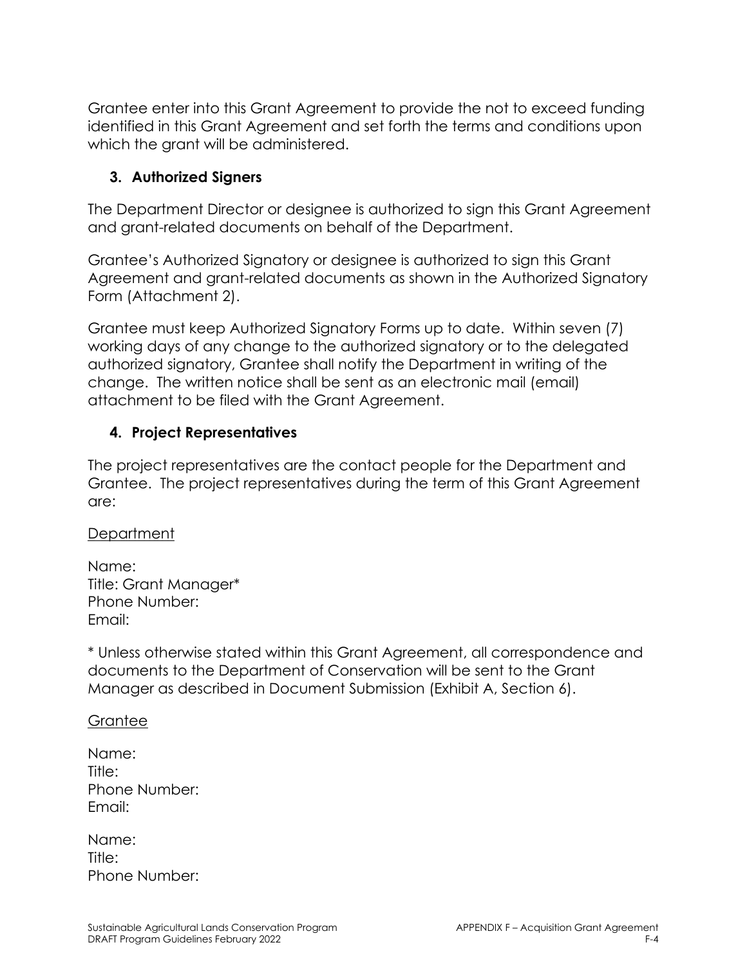Grantee enter into this Grant Agreement to provide the not to exceed funding identified in this Grant Agreement and set forth the terms and conditions upon which the grant will be administered.

#### **3. Authorized Signers**

The Department Director or designee is authorized to sign this Grant Agreement and grant-related documents on behalf of the Department.

Grantee's Authorized Signatory or designee is authorized to sign this Grant Agreement and grant-related documents as shown in the Authorized Signatory Form (Attachment 2).

Grantee must keep Authorized Signatory Forms up to date. Within seven (7) working days of any change to the authorized signatory or to the delegated authorized signatory, Grantee shall notify the Department in writing of the change. The written notice shall be sent as an electronic mail (email) attachment to be filed with the Grant Agreement.

### **4. Project Representatives**

The project representatives are the contact people for the Department and Grantee. The project representatives during the term of this Grant Agreement are:

#### **Department**

Name: Title: Grant Manager\* Phone Number: Email:

\* Unless otherwise stated within this Grant Agreement, all correspondence and documents to the Department of Conservation will be sent to the Grant Manager as described in Document Submission (Exhibit A, Section 6).

#### Grantee

| Name:         |
|---------------|
| Title:        |
| Phone Number: |
| Email:        |

| Name:  |               |
|--------|---------------|
| Title: |               |
|        | Phone Number: |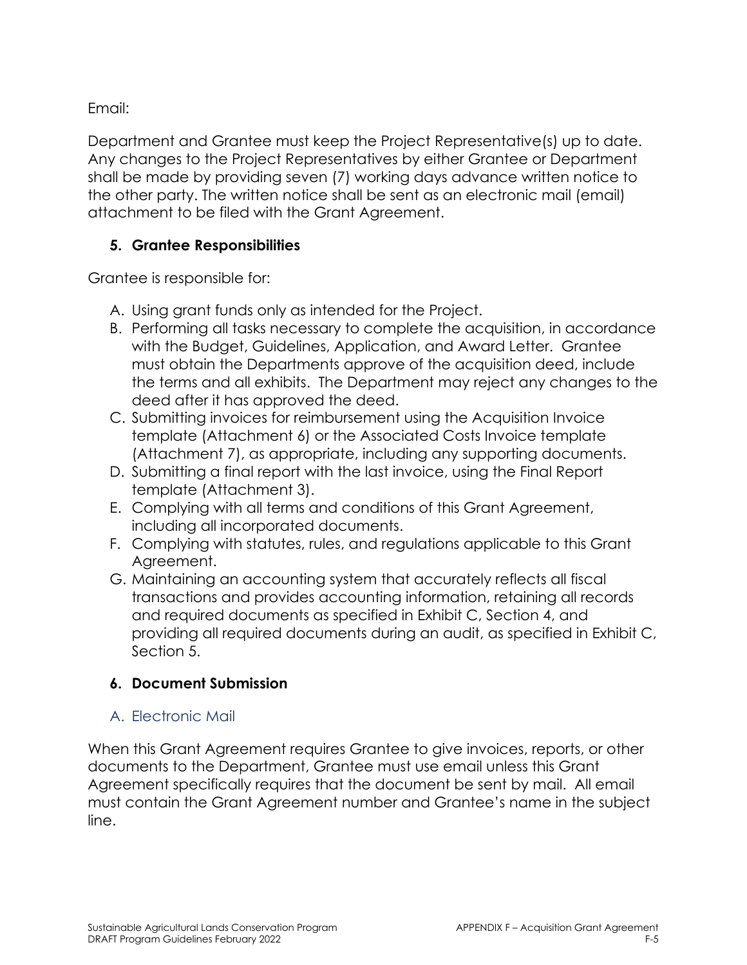Email:

Department and Grantee must keep the Project Representative(s) up to date. Any changes to the Project Representatives by either Grantee or Department shall be made by providing seven (7) working days advance written notice to the other party. The written notice shall be sent as an electronic mail (email) attachment to be filed with the Grant Agreement.

#### **5. Grantee Responsibilities**

Grantee is responsible for:

- A. Using grant funds only as intended for the Project.
- B. Performing all tasks necessary to complete the acquisition, in accordance with the Budget, Guidelines, Application, and Award Letter. Grantee must obtain the Departments approve of the acquisition deed, include the terms and all exhibits. The Department may reject any changes to the deed after it has approved the deed.
- C. Submitting invoices for reimbursement using the Acquisition Invoice template (Attachment 6) or the Associated Costs Invoice template (Attachment 7), as appropriate, including any supporting documents.
- D. Submitting a final report with the last invoice, using the Final Report template (Attachment 3).
- E. Complying with all terms and conditions of this Grant Agreement, including all incorporated documents.
- F. Complying with statutes, rules, and regulations applicable to this Grant Agreement.
- G. Maintaining an accounting system that accurately reflects all fiscal transactions and provides accounting information, retaining all records and required documents as specified in Exhibit C, Section 4, and providing all required documents during an audit, as specified in Exhibit C, Section 5.

# **6. Document Submission**

### A. Electronic Mail

When this Grant Agreement requires Grantee to give invoices, reports, or other documents to the Department, Grantee must use email unless this Grant Agreement specifically requires that the document be sent by mail. All email must contain the Grant Agreement number and Grantee's name in the subject line.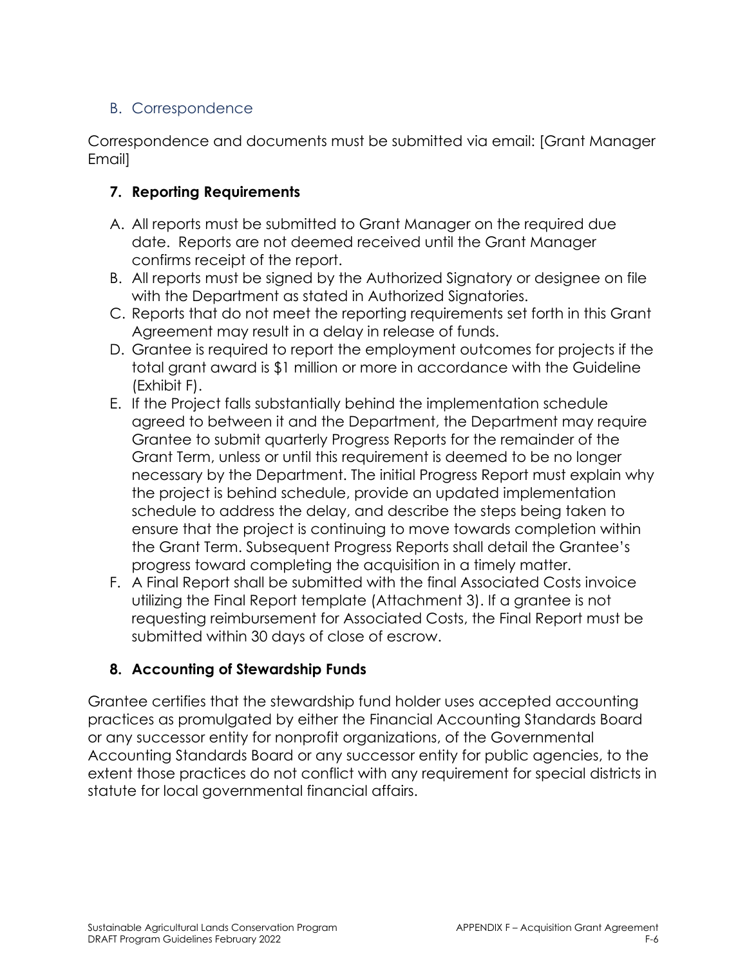### B. Correspondence

Correspondence and documents must be submitted via email: [Grant Manager Email]

### **7. Reporting Requirements**

- A. All reports must be submitted to Grant Manager on the required due date. Reports are not deemed received until the Grant Manager confirms receipt of the report.
- B. All reports must be signed by the Authorized Signatory or designee on file with the Department as stated in Authorized Signatories.
- C. Reports that do not meet the reporting requirements set forth in this Grant Agreement may result in a delay in release of funds.
- D. Grantee is required to report the employment outcomes for projects if the total grant award is \$1 million or more in accordance with the Guideline (Exhibit F).
- E. If the Project falls substantially behind the implementation schedule agreed to between it and the Department, the Department may require Grantee to submit quarterly Progress Reports for the remainder of the Grant Term, unless or until this requirement is deemed to be no longer necessary by the Department. The initial Progress Report must explain why the project is behind schedule, provide an updated implementation schedule to address the delay, and describe the steps being taken to ensure that the project is continuing to move towards completion within the Grant Term. Subsequent Progress Reports shall detail the Grantee's progress toward completing the acquisition in a timely matter.
- F. A Final Report shall be submitted with the final Associated Costs invoice utilizing the Final Report template (Attachment 3). If a grantee is not requesting reimbursement for Associated Costs, the Final Report must be submitted within 30 days of close of escrow.

#### **8. Accounting of Stewardship Funds**

Grantee certifies that the stewardship fund holder uses accepted accounting practices as promulgated by either the Financial Accounting Standards Board or any successor entity for nonprofit organizations, of the Governmental Accounting Standards Board or any successor entity for public agencies, to the extent those practices do not conflict with any requirement for special districts in statute for local governmental financial affairs.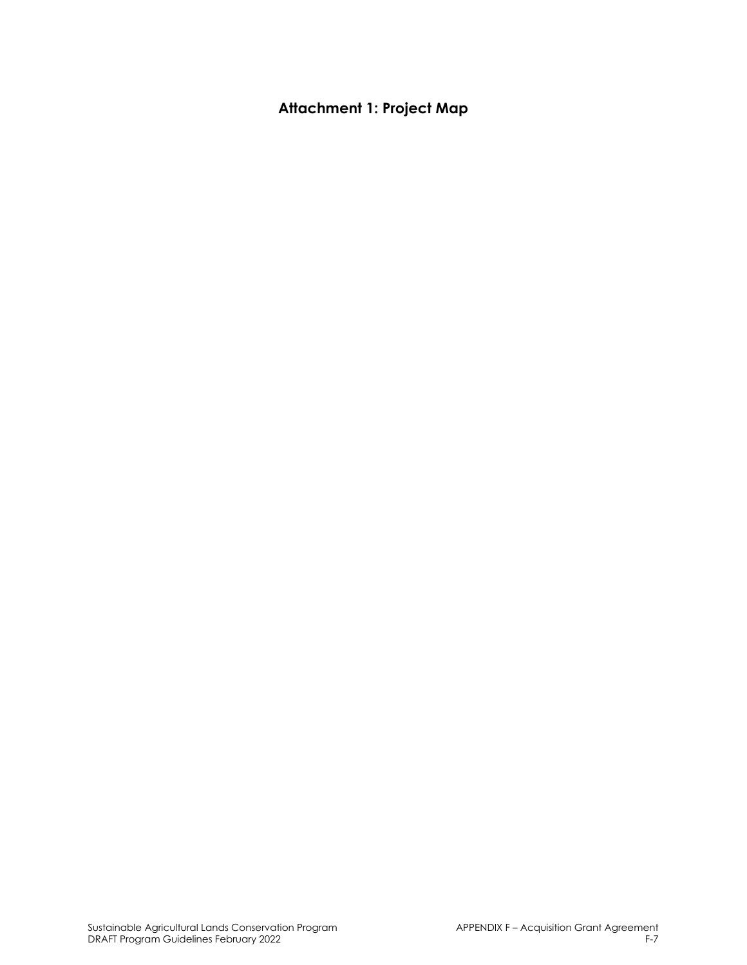# **Attachment 1: Project Map**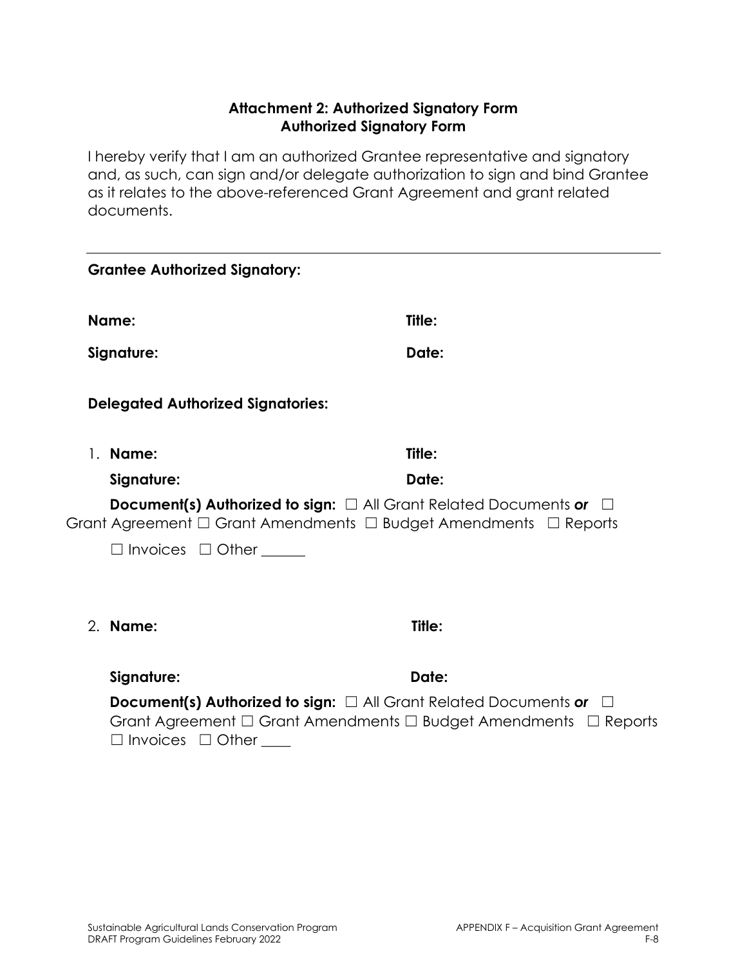#### **Attachment 2: Authorized Signatory Form Authorized Signatory Form**

I hereby verify that I am an authorized Grantee representative and signatory and, as such, can sign and/or delegate authorization to sign and bind Grantee as it relates to the above-referenced Grant Agreement and grant related documents.

| <b>Grantee Authorized Signatory:</b>                                                                                                                                                                   |        |  |
|--------------------------------------------------------------------------------------------------------------------------------------------------------------------------------------------------------|--------|--|
| Name:                                                                                                                                                                                                  | Title: |  |
| Signature:                                                                                                                                                                                             | Date:  |  |
| <b>Delegated Authorized Signatories:</b>                                                                                                                                                               |        |  |
| 1. Name:                                                                                                                                                                                               | Title: |  |
| Signature:                                                                                                                                                                                             | Date:  |  |
| <b>Document(s) Authorized to sign:</b> $\Box$ All Grant Related Documents or $\Box$<br>Grant Agreement $\Box$ Grant Amendments $\Box$ Budget Amendments $\Box$ Reports                                 |        |  |
| $\Box$ Invoices $\Box$ Other                                                                                                                                                                           |        |  |
|                                                                                                                                                                                                        |        |  |
| 2. Name:                                                                                                                                                                                               | Title: |  |
| Signature:                                                                                                                                                                                             | Date:  |  |
| <b>Document(s) Authorized to sign:</b> $\Box$ All Grant Related Documents or $\Box$<br>Grant Agreement $\Box$ Grant Amendments $\Box$ Budget Amendments $\Box$ Reports<br>$\Box$ Invoices $\Box$ Other |        |  |
|                                                                                                                                                                                                        |        |  |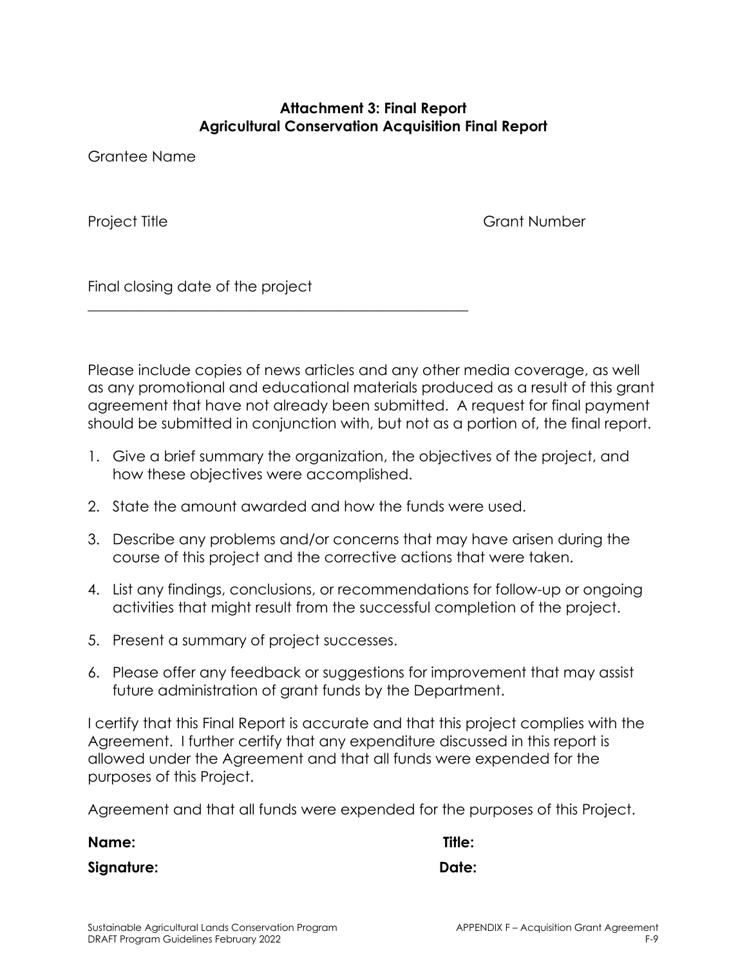#### **Attachment 3: Final Report Agricultural Conservation Acquisition Final Report**

Grantee Name

Project Title **Grant Number** 

Final closing date of the project

Please include copies of news articles and any other media coverage, as well as any promotional and educational materials produced as a result of this grant agreement that have not already been submitted. A request for final payment should be submitted in conjunction with, but not as a portion of, the final report.

- 1. Give a brief summary the organization, the objectives of the project, and how these objectives were accomplished.
- 2. State the amount awarded and how the funds were used.

\_\_\_\_\_\_\_\_\_\_\_\_\_\_\_\_\_\_\_\_\_\_\_\_\_\_\_\_\_\_\_\_\_\_\_\_\_\_\_\_\_\_\_\_\_\_\_\_\_\_\_\_

- 3. Describe any problems and/or concerns that may have arisen during the course of this project and the corrective actions that were taken.
- 4. List any findings, conclusions, or recommendations for follow-up or ongoing activities that might result from the successful completion of the project.
- 5. Present a summary of project successes.
- 6. Please offer any feedback or suggestions for improvement that may assist future administration of grant funds by the Department.

I certify that this Final Report is accurate and that this project complies with the Agreement. I further certify that any expenditure discussed in this report is allowed under the Agreement and that all funds were expended for the purposes of this Project.

Agreement and that all funds were expended for the purposes of this Project.

**Name: Title: Signature: Date:**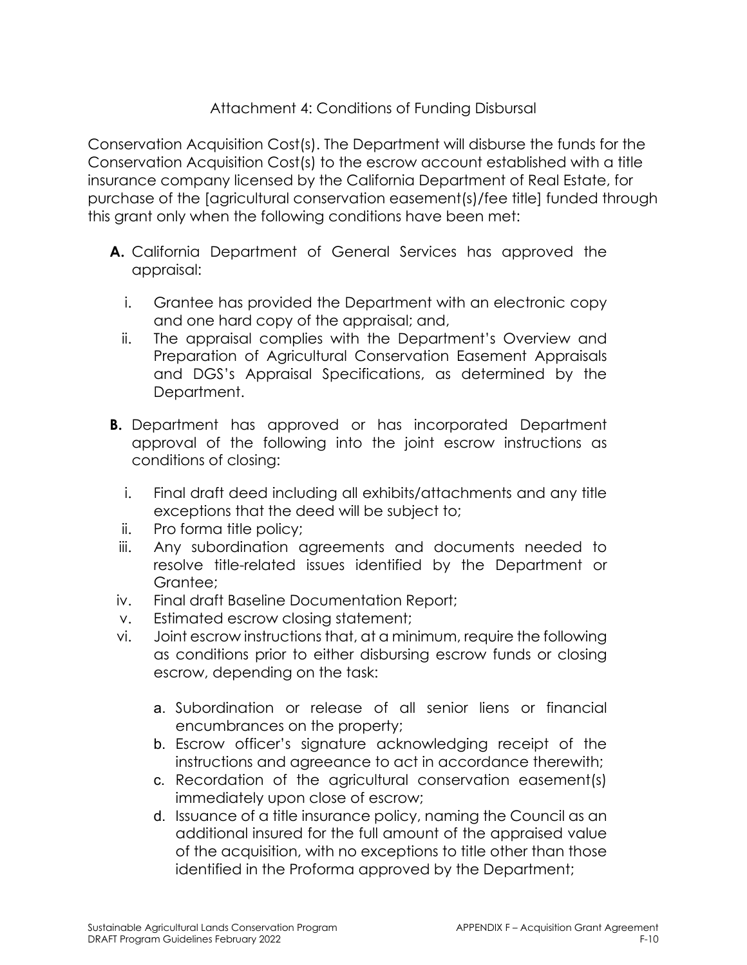#### Attachment 4: Conditions of Funding Disbursal

Conservation Acquisition Cost(s). The Department will disburse the funds for the Conservation Acquisition Cost(s) to the escrow account established with a title insurance company licensed by the California Department of Real Estate, for purchase of the [agricultural conservation easement(s)/fee title] funded through this grant only when the following conditions have been met:

- **A.** California Department of General Services has approved the appraisal:
	- i. Grantee has provided the Department with an electronic copy and one hard copy of the appraisal; and,
	- ii. The appraisal complies with the Department's Overview and Preparation of Agricultural Conservation Easement Appraisals and DGS's Appraisal Specifications, as determined by the Department.
- **B.** Department has approved or has incorporated Department approval of the following into the joint escrow instructions as conditions of closing:
	- i. Final draft deed including all exhibits/attachments and any title exceptions that the deed will be subject to;
	- ii. Pro forma title policy;
- iii. Any subordination agreements and documents needed to resolve title-related issues identified by the Department or Grantee;
- iv. Final draft Baseline Documentation Report;
- v. Estimated escrow closing statement;
- vi. Joint escrow instructions that, at a minimum, require the following as conditions prior to either disbursing escrow funds or closing escrow, depending on the task:
	- a. Subordination or release of all senior liens or financial encumbrances on the property;
	- b. Escrow officer's signature acknowledging receipt of the instructions and agreeance to act in accordance therewith;
	- c. Recordation of the agricultural conservation easement(s) immediately upon close of escrow;
	- d. Issuance of a title insurance policy, naming the Council as an additional insured for the full amount of the appraised value of the acquisition, with no exceptions to title other than those identified in the Proforma approved by the Department;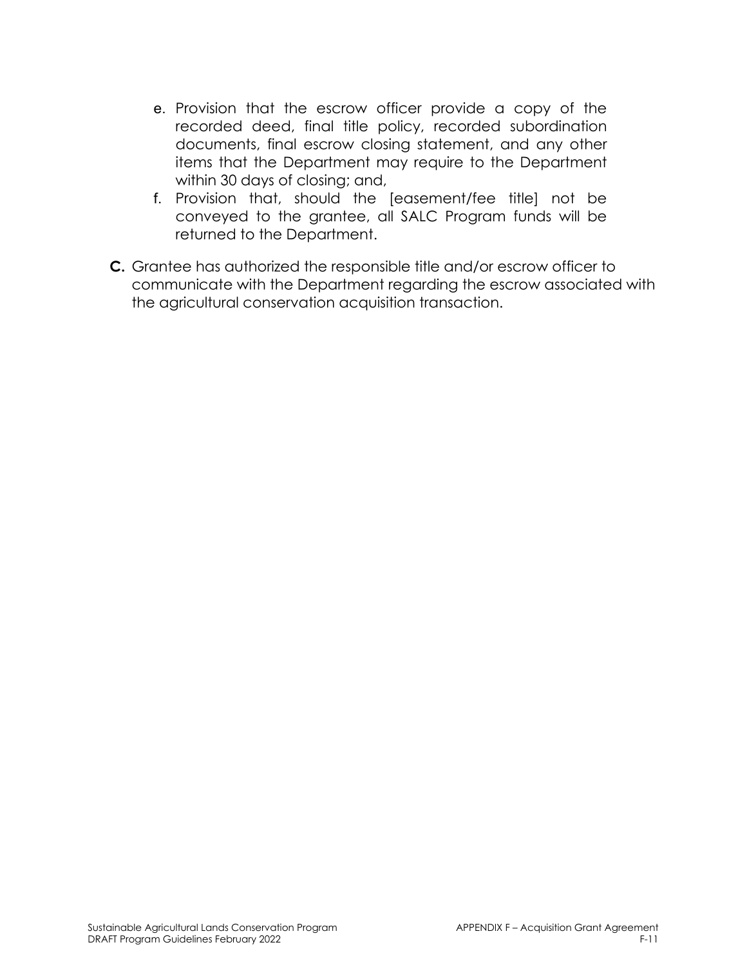- e. Provision that the escrow officer provide a copy of the recorded deed, final title policy, recorded subordination documents, final escrow closing statement, and any other items that the Department may require to the Department within 30 days of closing; and,
- f. Provision that, should the [easement/fee title] not be conveyed to the grantee, all SALC Program funds will be returned to the Department.
- **C.** Grantee has authorized the responsible title and/or escrow officer to communicate with the Department regarding the escrow associated with the agricultural conservation acquisition transaction.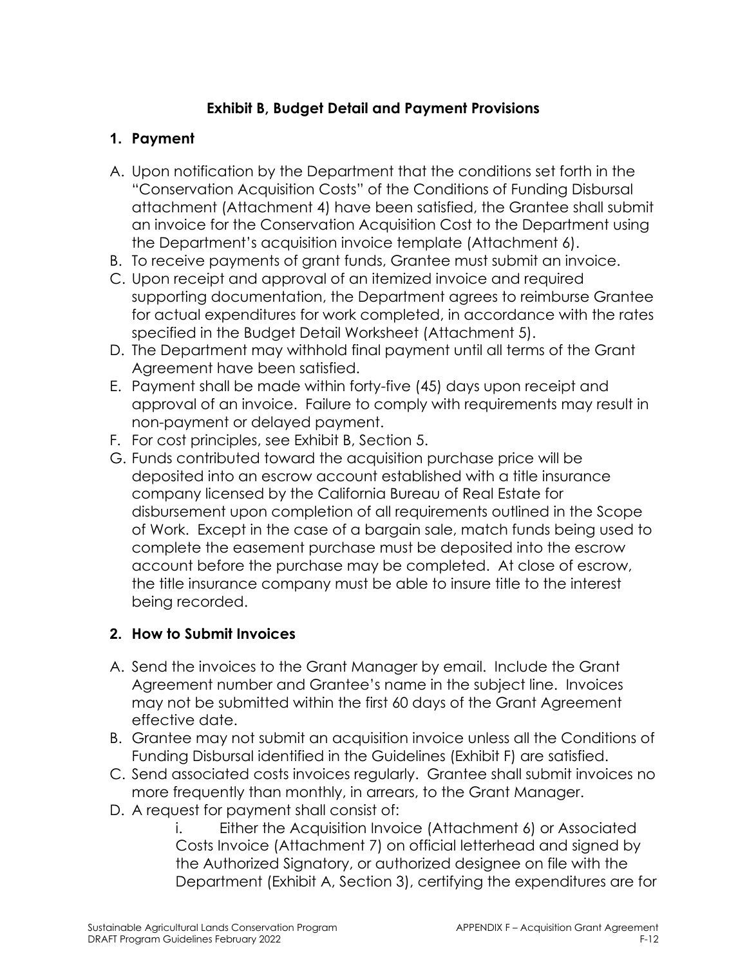### **Exhibit B, Budget Detail and Payment Provisions**

### **1. Payment**

- A. Upon notification by the Department that the conditions set forth in the "Conservation Acquisition Costs" of the Conditions of Funding Disbursal attachment (Attachment 4) have been satisfied, the Grantee shall submit an invoice for the Conservation Acquisition Cost to the Department using the Department's acquisition invoice template (Attachment 6).
- B. To receive payments of grant funds, Grantee must submit an invoice.
- C. Upon receipt and approval of an itemized invoice and required supporting documentation, the Department agrees to reimburse Grantee for actual expenditures for work completed, in accordance with the rates specified in the Budget Detail Worksheet (Attachment 5).
- D. The Department may withhold final payment until all terms of the Grant Agreement have been satisfied.
- E. Payment shall be made within forty-five (45) days upon receipt and approval of an invoice. Failure to comply with requirements may result in non-payment or delayed payment.
- F. For cost principles, see Exhibit B, Section 5.
- G. Funds contributed toward the acquisition purchase price will be deposited into an escrow account established with a title insurance company licensed by the California Bureau of Real Estate for disbursement upon completion of all requirements outlined in the Scope of Work. Except in the case of a bargain sale, match funds being used to complete the easement purchase must be deposited into the escrow account before the purchase may be completed. At close of escrow, the title insurance company must be able to insure title to the interest being recorded.

#### **2. How to Submit Invoices**

- A. Send the invoices to the Grant Manager by email. Include the Grant Agreement number and Grantee's name in the subject line. Invoices may not be submitted within the first 60 days of the Grant Agreement effective date.
- B. Grantee may not submit an acquisition invoice unless all the Conditions of Funding Disbursal identified in the Guidelines (Exhibit F) are satisfied.
- C. Send associated costs invoices regularly. Grantee shall submit invoices no more frequently than monthly, in arrears, to the Grant Manager.
- D. A request for payment shall consist of:

i. Either the Acquisition Invoice (Attachment 6) or Associated Costs Invoice (Attachment 7) on official letterhead and signed by the Authorized Signatory, or authorized designee on file with the Department (Exhibit A, Section 3), certifying the expenditures are for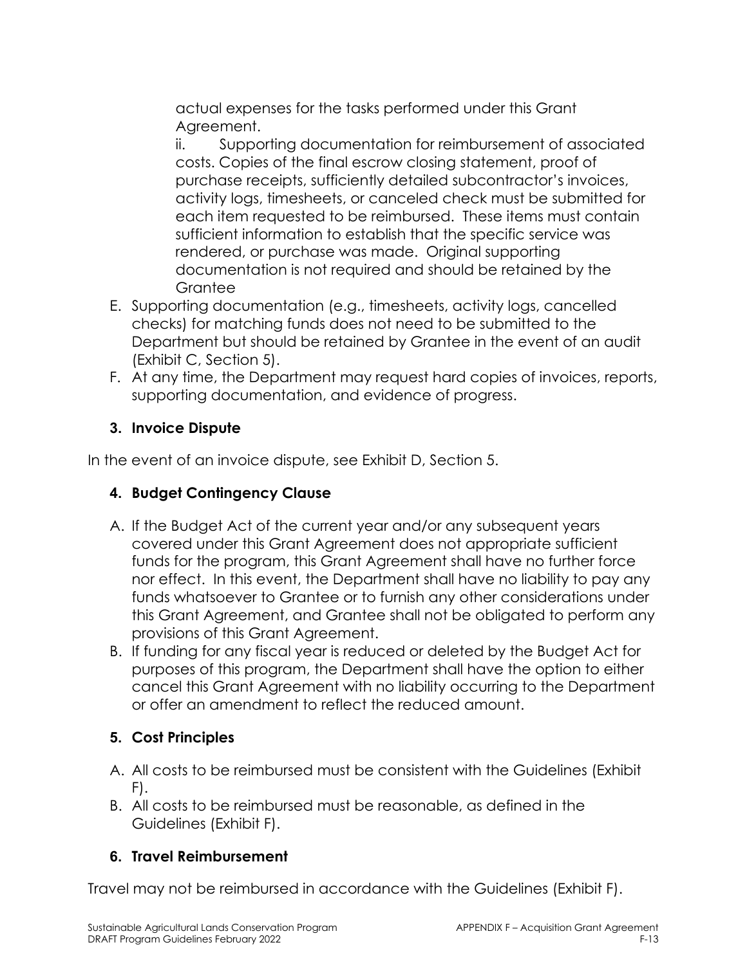actual expenses for the tasks performed under this Grant Agreement.

ii. Supporting documentation for reimbursement of associated costs. Copies of the final escrow closing statement, proof of purchase receipts, sufficiently detailed subcontractor's invoices, activity logs, timesheets, or canceled check must be submitted for each item requested to be reimbursed. These items must contain sufficient information to establish that the specific service was rendered, or purchase was made. Original supporting documentation is not required and should be retained by the **Grantee** 

- E. Supporting documentation (e.g., timesheets, activity logs, cancelled checks) for matching funds does not need to be submitted to the Department but should be retained by Grantee in the event of an audit (Exhibit C, Section 5).
- F. At any time, the Department may request hard copies of invoices, reports, supporting documentation, and evidence of progress.

# **3. Invoice Dispute**

In the event of an invoice dispute, see Exhibit D, Section 5.

### **4. Budget Contingency Clause**

- A. If the Budget Act of the current year and/or any subsequent years covered under this Grant Agreement does not appropriate sufficient funds for the program, this Grant Agreement shall have no further force nor effect. In this event, the Department shall have no liability to pay any funds whatsoever to Grantee or to furnish any other considerations under this Grant Agreement, and Grantee shall not be obligated to perform any provisions of this Grant Agreement.
- B. If funding for any fiscal year is reduced or deleted by the Budget Act for purposes of this program, the Department shall have the option to either cancel this Grant Agreement with no liability occurring to the Department or offer an amendment to reflect the reduced amount.

### **5. Cost Principles**

- A. All costs to be reimbursed must be consistent with the Guidelines (Exhibit F).
- B. All costs to be reimbursed must be reasonable, as defined in the Guidelines (Exhibit F).

### **6. Travel Reimbursement**

Travel may not be reimbursed in accordance with the Guidelines (Exhibit F).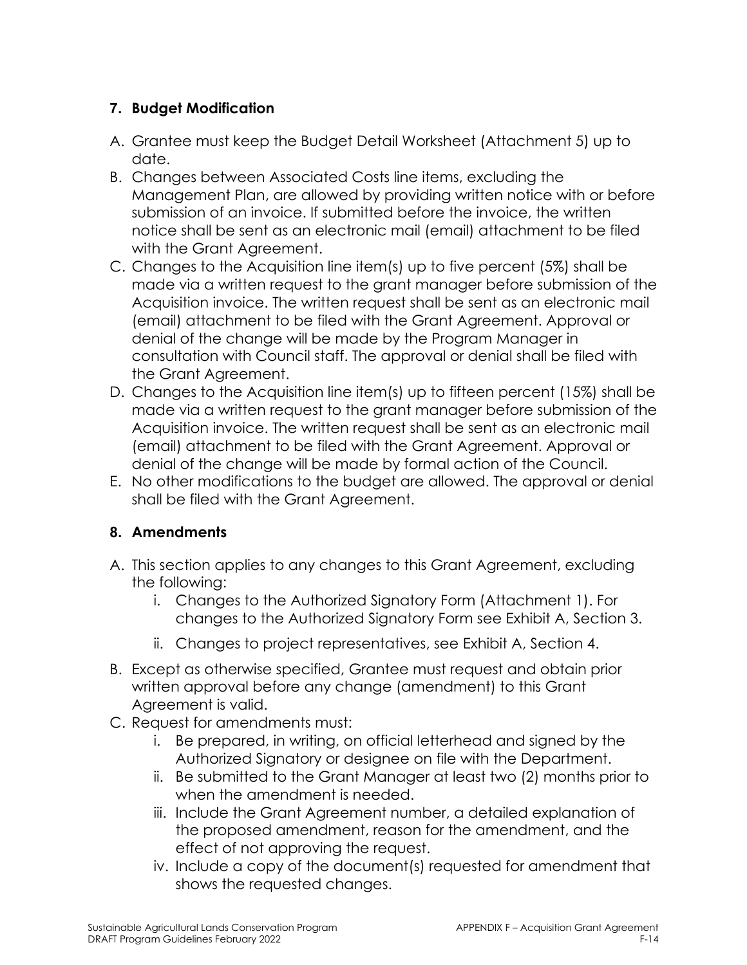### **7. Budget Modification**

- A. Grantee must keep the Budget Detail Worksheet (Attachment 5) up to date.
- B. Changes between Associated Costs line items, excluding the Management Plan, are allowed by providing written notice with or before submission of an invoice. If submitted before the invoice, the written notice shall be sent as an electronic mail (email) attachment to be filed with the Grant Agreement.
- C. Changes to the Acquisition line item(s) up to five percent (5%) shall be made via a written request to the grant manager before submission of the Acquisition invoice. The written request shall be sent as an electronic mail (email) attachment to be filed with the Grant Agreement. Approval or denial of the change will be made by the Program Manager in consultation with Council staff. The approval or denial shall be filed with the Grant Agreement.
- D. Changes to the Acquisition line item(s) up to fifteen percent (15%) shall be made via a written request to the grant manager before submission of the Acquisition invoice. The written request shall be sent as an electronic mail (email) attachment to be filed with the Grant Agreement. Approval or denial of the change will be made by formal action of the Council.
- E. No other modifications to the budget are allowed. The approval or denial shall be filed with the Grant Agreement.

### **8. Amendments**

- A. This section applies to any changes to this Grant Agreement, excluding the following:
	- i. Changes to the Authorized Signatory Form (Attachment 1). For changes to the Authorized Signatory Form see Exhibit A, Section 3.
	- ii. Changes to project representatives, see Exhibit A, Section 4.
- B. Except as otherwise specified, Grantee must request and obtain prior written approval before any change (amendment) to this Grant Agreement is valid.
- C. Request for amendments must:
	- i. Be prepared, in writing, on official letterhead and signed by the Authorized Signatory or designee on file with the Department.
	- ii. Be submitted to the Grant Manager at least two (2) months prior to when the amendment is needed.
	- iii. Include the Grant Agreement number, a detailed explanation of the proposed amendment, reason for the amendment, and the effect of not approving the request.
	- iv. Include a copy of the document(s) requested for amendment that shows the requested changes.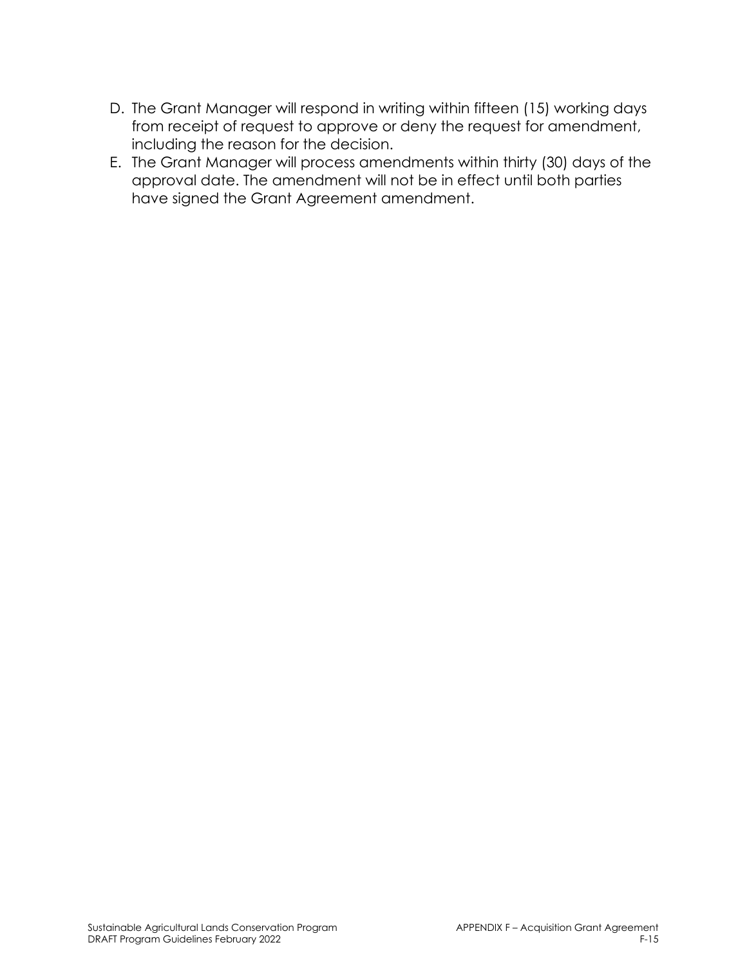- D. The Grant Manager will respond in writing within fifteen (15) working days from receipt of request to approve or deny the request for amendment, including the reason for the decision.
- E. The Grant Manager will process amendments within thirty (30) days of the approval date. The amendment will not be in effect until both parties have signed the Grant Agreement amendment.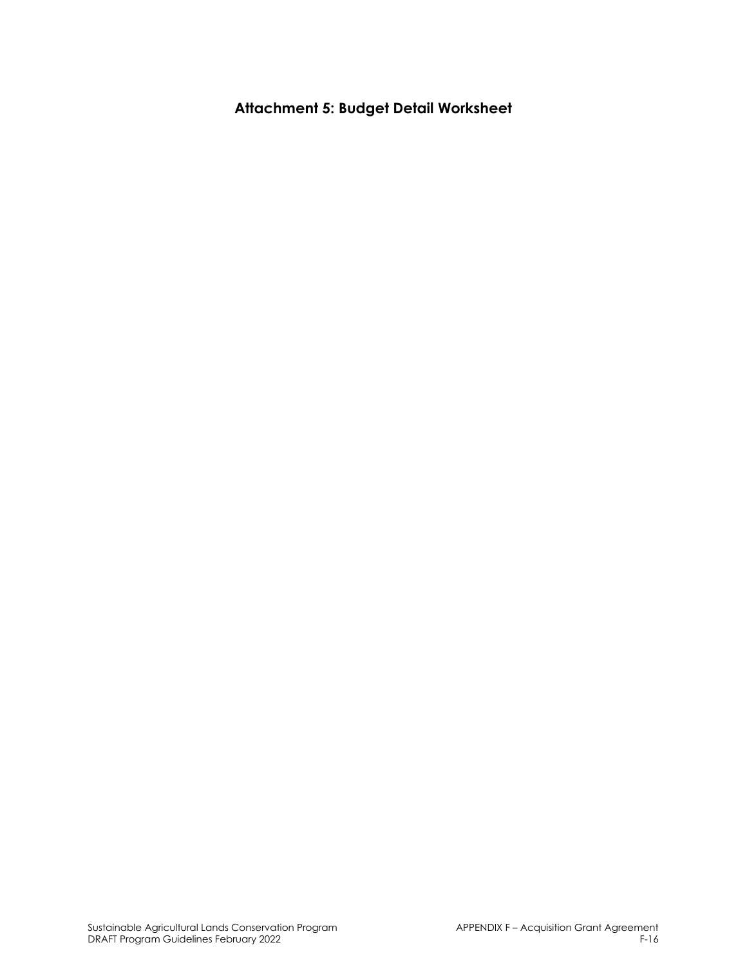**Attachment 5: Budget Detail Worksheet**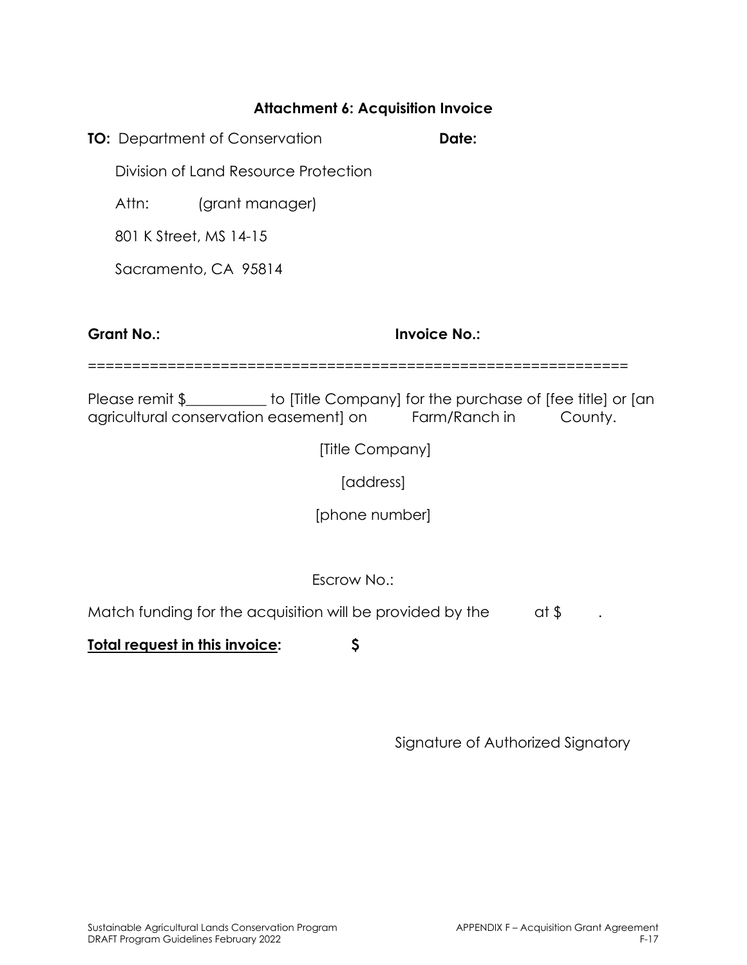#### **Attachment 6: Acquisition Invoice**

**TO:** Department of Conservation **Date: Date:** 

Division of Land Resource Protection

Attn: (grant manager)

801 K Street, MS 14-15

Sacramento, CA 95814

**Grant No.: Invoice No.:** 

=============================================================

Please remit \$ \_\_\_\_\_\_\_\_ to [Title Company] for the purchase of [fee title] or [an agricultural conservation easement] on Farm/Ranch in County.

[Title Company]

[address]

[phone number]

Escrow No.:

Match funding for the acquisition will be provided by the  $\qquad$  at \$

**Total request in this invoice: \$**

Signature of Authorized Signatory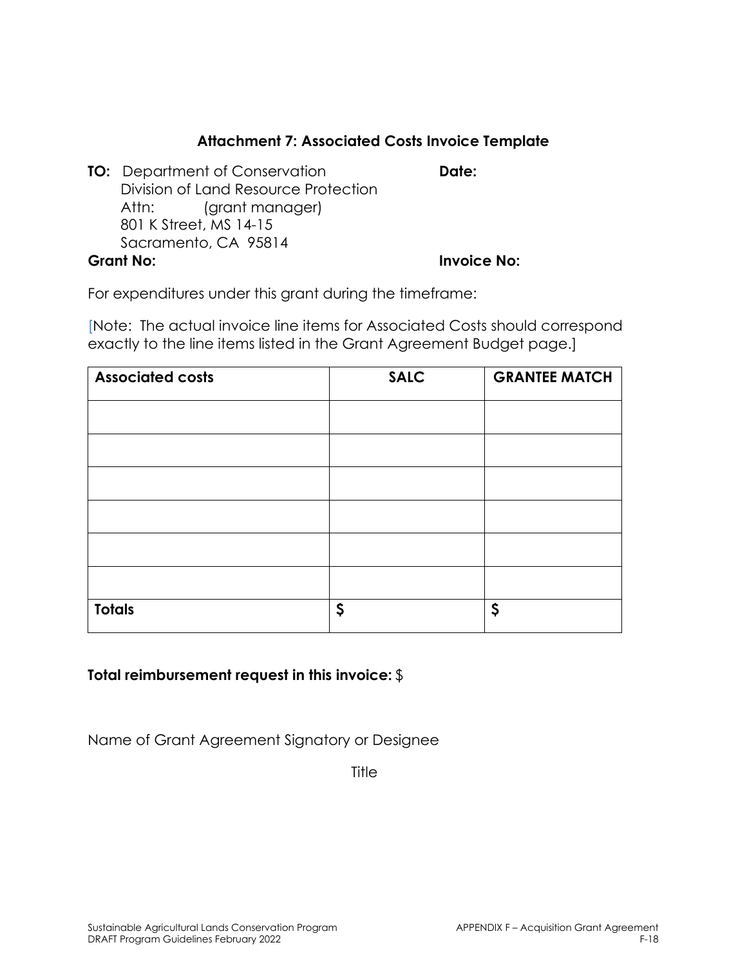#### **Attachment 7: Associated Costs Invoice Template**

**TO:** Department of Conservation **Date:** Division of Land Resource Protection Attn: (grant manager) 801 K Street, MS 14-15 Sacramento, CA 95814 **Grant No: Invoice No:** 

For expenditures under this grant during the timeframe:

[Note: The actual invoice line items for Associated Costs should correspond exactly to the line items listed in the Grant Agreement Budget page.]

| <b>Associated costs</b> | <b>SALC</b> | <b>GRANTEE MATCH</b> |
|-------------------------|-------------|----------------------|
|                         |             |                      |
|                         |             |                      |
|                         |             |                      |
|                         |             |                      |
|                         |             |                      |
|                         |             |                      |
|                         |             |                      |
| <b>Totals</b>           | \$          | \$                   |

#### **Total reimbursement request in this invoice:** \$

Name of Grant Agreement Signatory or Designee

**Title**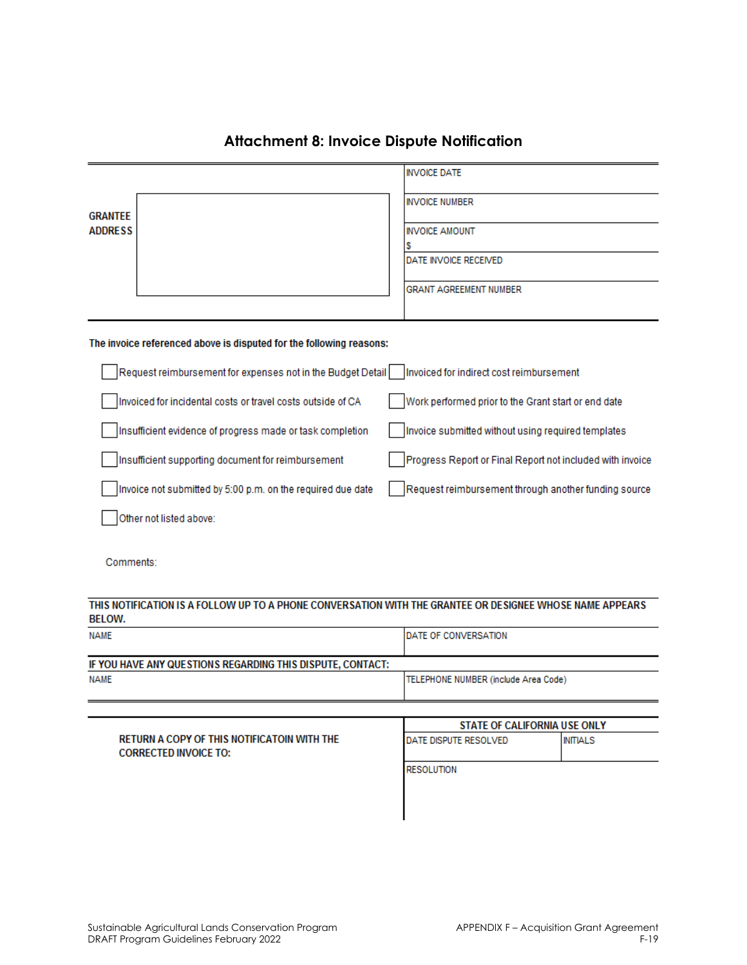|                                  |                                                                     |  | <b>INVOICE DATE</b>                                       |
|----------------------------------|---------------------------------------------------------------------|--|-----------------------------------------------------------|
| <b>GRANTEE</b><br><b>ADDRESS</b> |                                                                     |  | <b>INVOICE NUMBER</b>                                     |
|                                  |                                                                     |  | <b>INVOICE AMOUNT</b>                                     |
|                                  |                                                                     |  | s                                                         |
|                                  |                                                                     |  | DATE INVOICE RECEIVED                                     |
|                                  |                                                                     |  | <b>GRANT AGREEMENT NUMBER</b>                             |
|                                  |                                                                     |  |                                                           |
|                                  | The invoice referenced above is disputed for the following reasons: |  |                                                           |
|                                  | Request reimbursement for expenses not in the Budget Detail         |  | Invoiced for indirect cost reimbursement                  |
|                                  | Invoiced for incidental costs or travel costs outside of CA         |  | Work performed prior to the Grant start or end date       |
|                                  | Insufficient evidence of progress made or task completion           |  | Invoice submitted without using required templates        |
|                                  | Insufficient supporting document for reimbursement                  |  | Progress Report or Final Report not included with invoice |
|                                  | Invoice not submitted by 5:00 p.m. on the required due date         |  | Request reimbursement through another funding source      |
|                                  | Other not listed above:                                             |  |                                                           |
|                                  |                                                                     |  |                                                           |

#### **Attachment 8: Invoice Dispute Notification**

Comments:

#### THIS NOTIFICATION IS A FOLLOW UP TO A PHONE CONVERSATION WITH THE GRANTEE OR DESIGNEE WHOSE NAME APPEARS **BELOW.**

| <b>NAME</b>                                                | <b>IDATE OF CONVERSATION</b>         |
|------------------------------------------------------------|--------------------------------------|
| IF YOU HAVE ANY QUESTIONS REGARDING THIS DISPUTE, CONTACT: |                                      |
| <b>NAME</b>                                                | TELEPHONE NUMBER (include Area Code) |
|                                                            |                                      |

|                                                                                    | STATE OF CALIFORNIA USE ONLY  |                 |  |
|------------------------------------------------------------------------------------|-------------------------------|-----------------|--|
| <b>RETURN A COPY OF THIS NOTIFICATOIN WITH THE</b><br><b>CORRECTED INVOICE TO:</b> | <b>IDATE DISPUTE RESOLVED</b> | <b>INITIALS</b> |  |
|                                                                                    | <b>RESOLUTION</b>             |                 |  |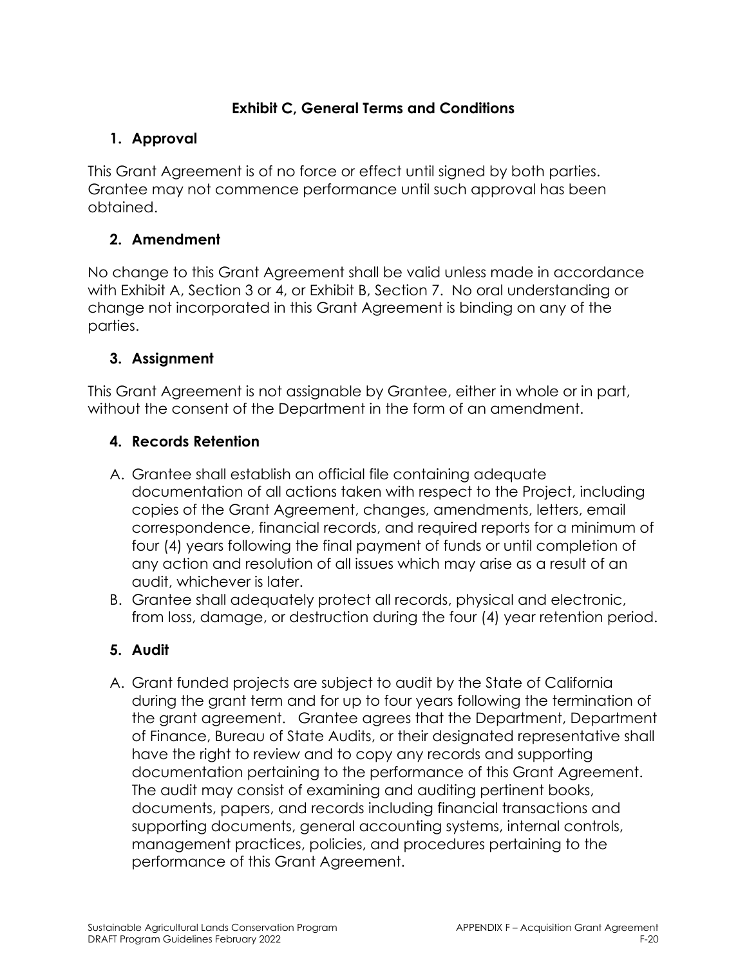### **Exhibit C, General Terms and Conditions**

### **1. Approval**

This Grant Agreement is of no force or effect until signed by both parties. Grantee may not commence performance until such approval has been obtained.

# **2. Amendment**

No change to this Grant Agreement shall be valid unless made in accordance with Exhibit A, Section 3 or 4, or Exhibit B, Section 7. No oral understanding or change not incorporated in this Grant Agreement is binding on any of the parties.

# **3. Assignment**

This Grant Agreement is not assignable by Grantee, either in whole or in part, without the consent of the Department in the form of an amendment.

# **4. Records Retention**

- A. Grantee shall establish an official file containing adequate documentation of all actions taken with respect to the Project, including copies of the Grant Agreement, changes, amendments, letters, email correspondence, financial records, and required reports for a minimum of four (4) years following the final payment of funds or until completion of any action and resolution of all issues which may arise as a result of an audit, whichever is later.
- B. Grantee shall adequately protect all records, physical and electronic, from loss, damage, or destruction during the four (4) year retention period.

### **5. Audit**

A. Grant funded projects are subject to audit by the State of California during the grant term and for up to four years following the termination of the grant agreement. Grantee agrees that the Department, Department of Finance, Bureau of State Audits, or their designated representative shall have the right to review and to copy any records and supporting documentation pertaining to the performance of this Grant Agreement. The audit may consist of examining and auditing pertinent books, documents, papers, and records including financial transactions and supporting documents, general accounting systems, internal controls, management practices, policies, and procedures pertaining to the performance of this Grant Agreement.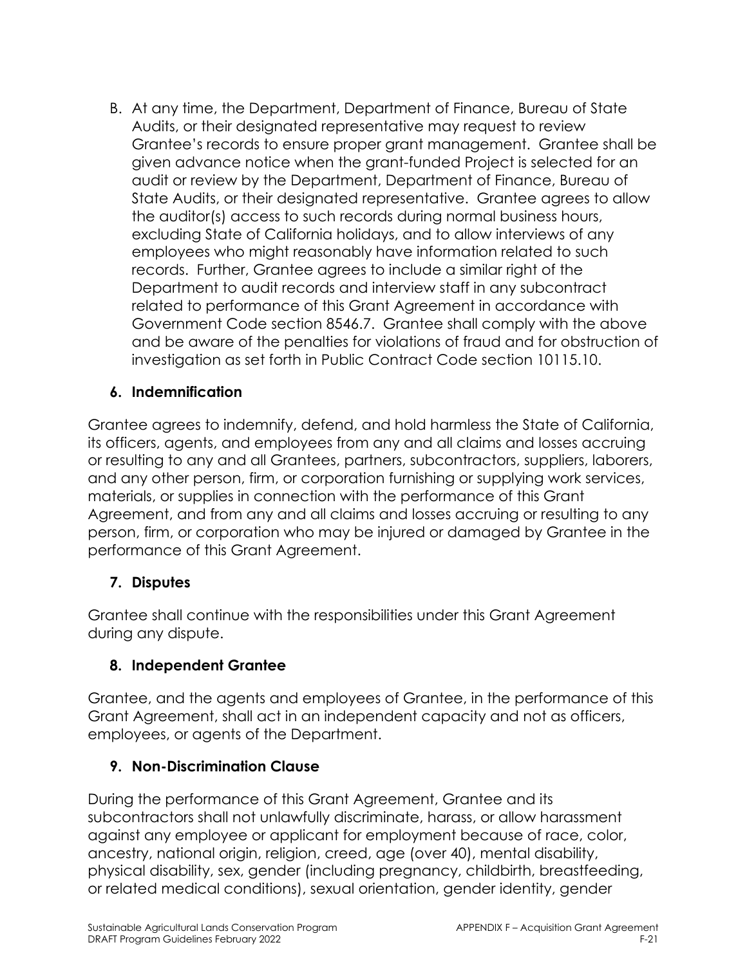B. At any time, the Department, Department of Finance, Bureau of State Audits, or their designated representative may request to review Grantee's records to ensure proper grant management. Grantee shall be given advance notice when the grant-funded Project is selected for an audit or review by the Department, Department of Finance, Bureau of State Audits, or their designated representative. Grantee agrees to allow the auditor(s) access to such records during normal business hours, excluding State of California holidays, and to allow interviews of any employees who might reasonably have information related to such records. Further, Grantee agrees to include a similar right of the Department to audit records and interview staff in any subcontract related to performance of this Grant Agreement in accordance with Government Code section 8546.7. Grantee shall comply with the above and be aware of the penalties for violations of fraud and for obstruction of investigation as set forth in Public Contract Code section 10115.10.

### **6. Indemnification**

Grantee agrees to indemnify, defend, and hold harmless the State of California, its officers, agents, and employees from any and all claims and losses accruing or resulting to any and all Grantees, partners, subcontractors, suppliers, laborers, and any other person, firm, or corporation furnishing or supplying work services, materials, or supplies in connection with the performance of this Grant Agreement, and from any and all claims and losses accruing or resulting to any person, firm, or corporation who may be injured or damaged by Grantee in the performance of this Grant Agreement.

#### **7. Disputes**

Grantee shall continue with the responsibilities under this Grant Agreement during any dispute.

#### **8. Independent Grantee**

Grantee, and the agents and employees of Grantee, in the performance of this Grant Agreement, shall act in an independent capacity and not as officers, employees, or agents of the Department.

#### **9. Non-Discrimination Clause**

During the performance of this Grant Agreement, Grantee and its subcontractors shall not unlawfully discriminate, harass, or allow harassment against any employee or applicant for employment because of race, color, ancestry, national origin, religion, creed, age (over 40), mental disability, physical disability, sex, gender (including pregnancy, childbirth, breastfeeding, or related medical conditions), sexual orientation, gender identity, gender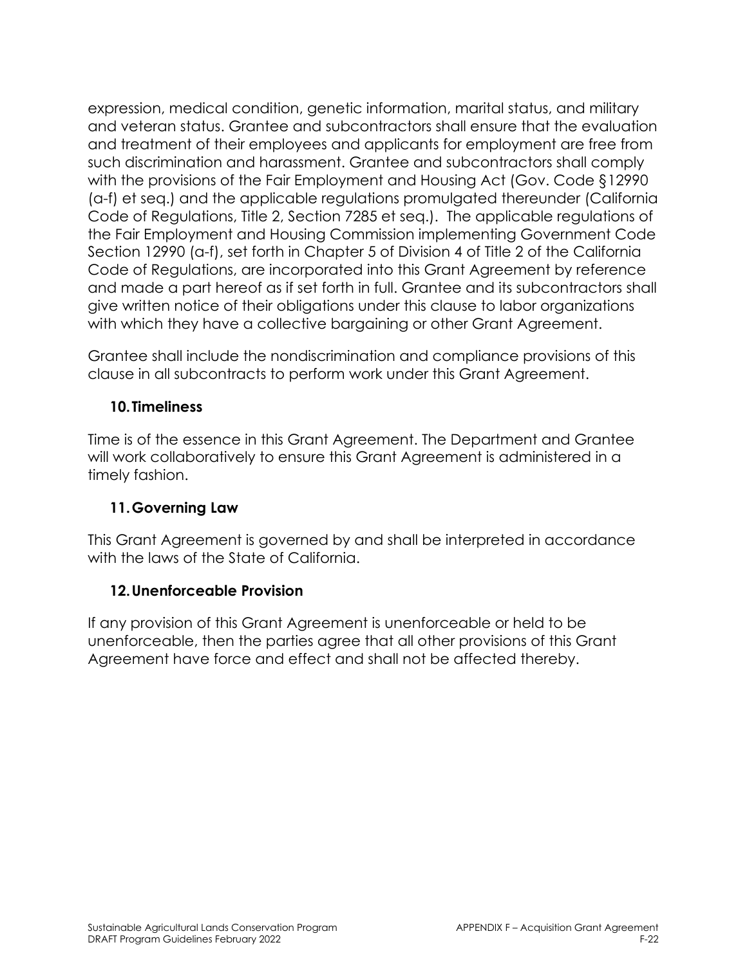expression, medical condition, genetic information, marital status, and military and veteran status. Grantee and subcontractors shall ensure that the evaluation and treatment of their employees and applicants for employment are free from such discrimination and harassment. Grantee and subcontractors shall comply with the provisions of the Fair Employment and Housing Act (Gov. Code §12990 (a-f) et seq.) and the applicable regulations promulgated thereunder (California Code of Regulations, Title 2, Section 7285 et seq.). The applicable regulations of the Fair Employment and Housing Commission implementing Government Code Section 12990 (a-f), set forth in Chapter 5 of Division 4 of Title 2 of the California Code of Regulations, are incorporated into this Grant Agreement by reference and made a part hereof as if set forth in full. Grantee and its subcontractors shall give written notice of their obligations under this clause to labor organizations with which they have a collective bargaining or other Grant Agreement.

Grantee shall include the nondiscrimination and compliance provisions of this clause in all subcontracts to perform work under this Grant Agreement.

### **10.Timeliness**

Time is of the essence in this Grant Agreement. The Department and Grantee will work collaboratively to ensure this Grant Agreement is administered in a timely fashion.

### **11.Governing Law**

This Grant Agreement is governed by and shall be interpreted in accordance with the laws of the State of California.

#### **12.Unenforceable Provision**

If any provision of this Grant Agreement is unenforceable or held to be unenforceable, then the parties agree that all other provisions of this Grant Agreement have force and effect and shall not be affected thereby.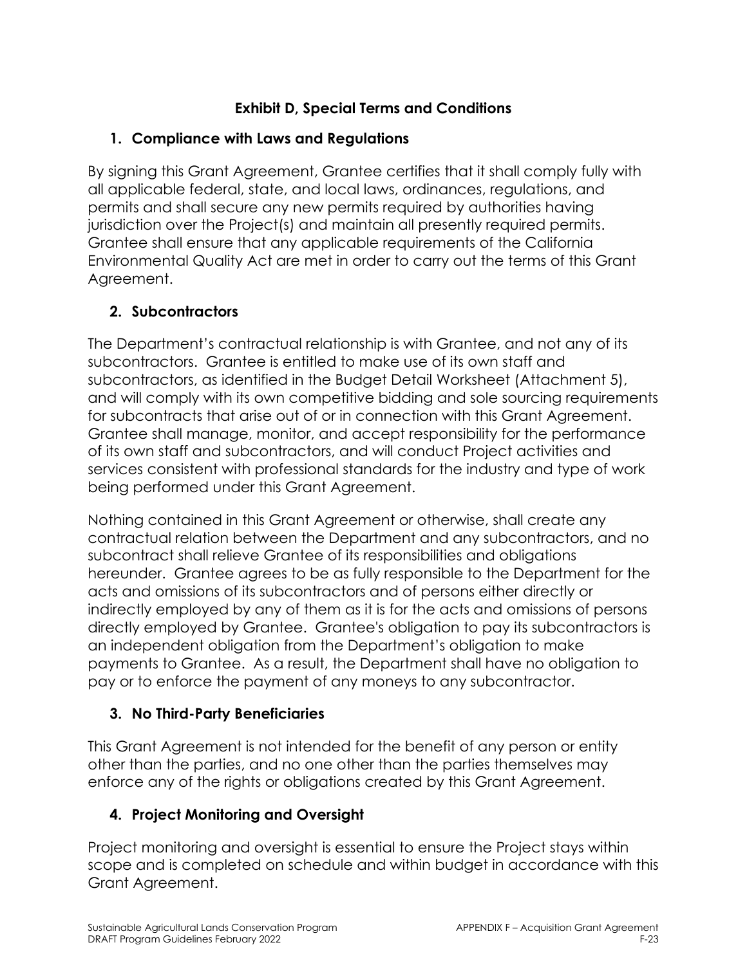# **Exhibit D, Special Terms and Conditions**

# **1. Compliance with Laws and Regulations**

By signing this Grant Agreement, Grantee certifies that it shall comply fully with all applicable federal, state, and local laws, ordinances, regulations, and permits and shall secure any new permits required by authorities having jurisdiction over the Project(s) and maintain all presently required permits. Grantee shall ensure that any applicable requirements of the California Environmental Quality Act are met in order to carry out the terms of this Grant Agreement.

# **2. Subcontractors**

The Department's contractual relationship is with Grantee, and not any of its subcontractors. Grantee is entitled to make use of its own staff and subcontractors, as identified in the Budget Detail Worksheet (Attachment 5), and will comply with its own competitive bidding and sole sourcing requirements for subcontracts that arise out of or in connection with this Grant Agreement. Grantee shall manage, monitor, and accept responsibility for the performance of its own staff and subcontractors, and will conduct Project activities and services consistent with professional standards for the industry and type of work being performed under this Grant Agreement.

Nothing contained in this Grant Agreement or otherwise, shall create any contractual relation between the Department and any subcontractors, and no subcontract shall relieve Grantee of its responsibilities and obligations hereunder. Grantee agrees to be as fully responsible to the Department for the acts and omissions of its subcontractors and of persons either directly or indirectly employed by any of them as it is for the acts and omissions of persons directly employed by Grantee. Grantee's obligation to pay its subcontractors is an independent obligation from the Department's obligation to make payments to Grantee. As a result, the Department shall have no obligation to pay or to enforce the payment of any moneys to any subcontractor.

# **3. No Third-Party Beneficiaries**

This Grant Agreement is not intended for the benefit of any person or entity other than the parties, and no one other than the parties themselves may enforce any of the rights or obligations created by this Grant Agreement.

# **4. Project Monitoring and Oversight**

Project monitoring and oversight is essential to ensure the Project stays within scope and is completed on schedule and within budget in accordance with this Grant Agreement.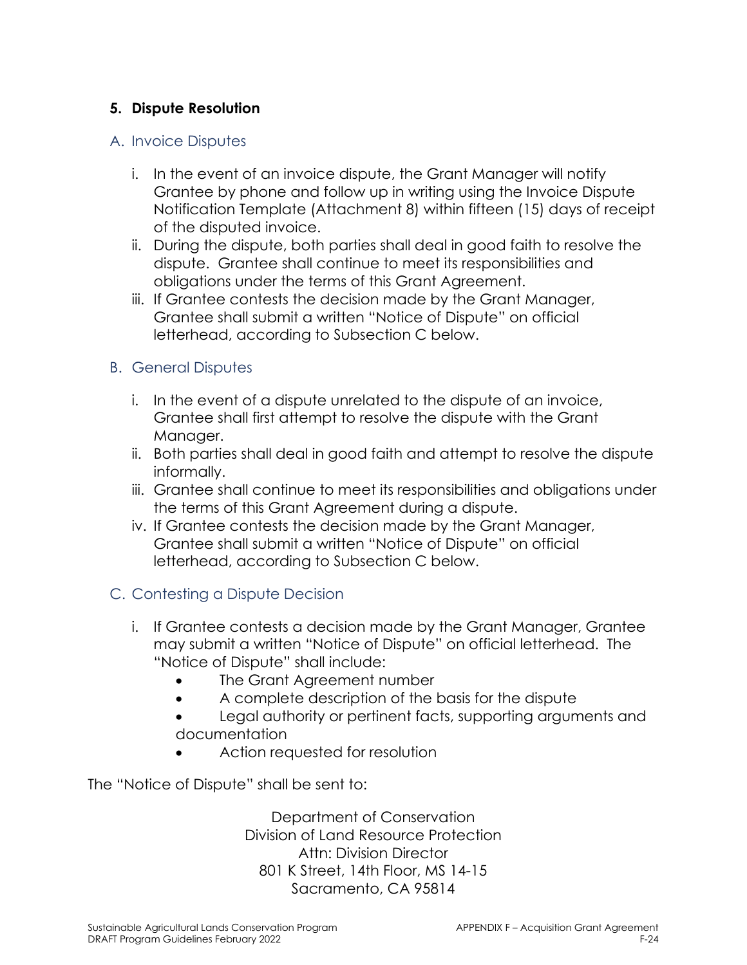### **5. Dispute Resolution**

#### A. Invoice Disputes

- i. In the event of an invoice dispute, the Grant Manager will notify Grantee by phone and follow up in writing using the Invoice Dispute Notification Template (Attachment 8) within fifteen (15) days of receipt of the disputed invoice.
- ii. During the dispute, both parties shall deal in good faith to resolve the dispute. Grantee shall continue to meet its responsibilities and obligations under the terms of this Grant Agreement.
- iii. If Grantee contests the decision made by the Grant Manager, Grantee shall submit a written "Notice of Dispute" on official letterhead, according to Subsection C below.

#### B. General Disputes

- i. In the event of a dispute unrelated to the dispute of an invoice, Grantee shall first attempt to resolve the dispute with the Grant Manager.
- ii. Both parties shall deal in good faith and attempt to resolve the dispute informally.
- iii. Grantee shall continue to meet its responsibilities and obligations under the terms of this Grant Agreement during a dispute.
- iv. If Grantee contests the decision made by the Grant Manager, Grantee shall submit a written "Notice of Dispute" on official letterhead, according to Subsection C below.

#### C. Contesting a Dispute Decision

- i. If Grantee contests a decision made by the Grant Manager, Grantee may submit a written "Notice of Dispute" on official letterhead. The "Notice of Dispute" shall include:
	- The Grant Agreement number
	- A complete description of the basis for the dispute
	- Legal authority or pertinent facts, supporting arguments and documentation
	- Action requested for resolution

The "Notice of Dispute" shall be sent to:

Department of Conservation Division of Land Resource Protection Attn: Division Director 801 K Street, 14th Floor, MS 14-15 Sacramento, CA 95814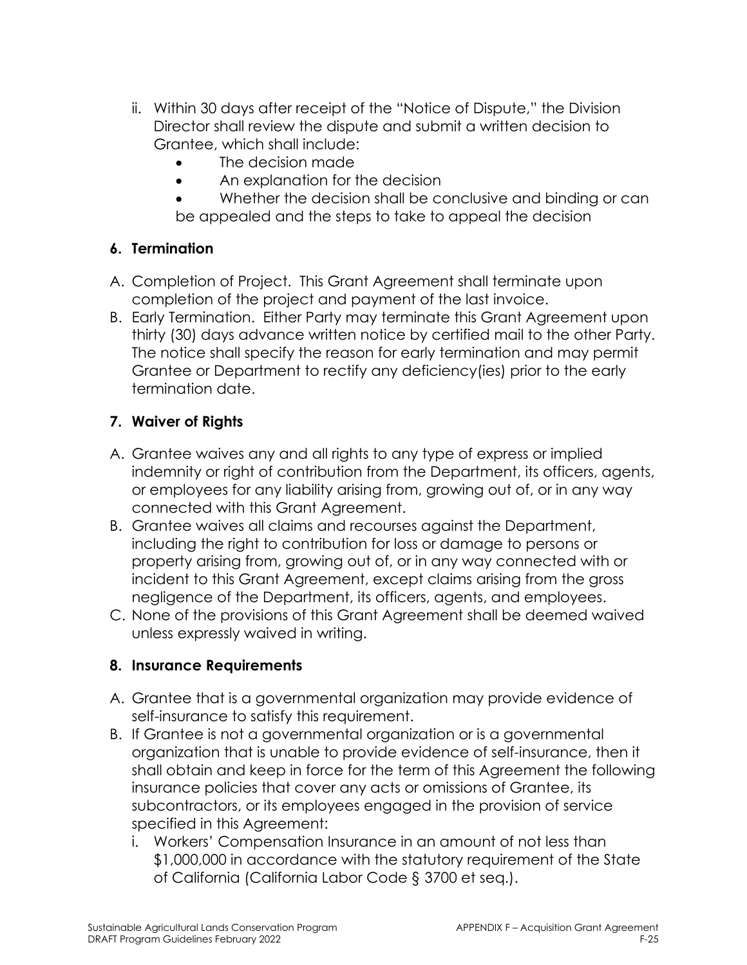- ii. Within 30 days after receipt of the "Notice of Dispute," the Division Director shall review the dispute and submit a written decision to Grantee, which shall include:
	- The decision made
	- An explanation for the decision
	- Whether the decision shall be conclusive and binding or can be appealed and the steps to take to appeal the decision

#### **6. Termination**

- A. Completion of Project. This Grant Agreement shall terminate upon completion of the project and payment of the last invoice.
- B. Early Termination. Either Party may terminate this Grant Agreement upon thirty (30) days advance written notice by certified mail to the other Party. The notice shall specify the reason for early termination and may permit Grantee or Department to rectify any deficiency(ies) prior to the early termination date.

### **7. Waiver of Rights**

- A. Grantee waives any and all rights to any type of express or implied indemnity or right of contribution from the Department, its officers, agents, or employees for any liability arising from, growing out of, or in any way connected with this Grant Agreement.
- B. Grantee waives all claims and recourses against the Department, including the right to contribution for loss or damage to persons or property arising from, growing out of, or in any way connected with or incident to this Grant Agreement, except claims arising from the gross negligence of the Department, its officers, agents, and employees.
- C. None of the provisions of this Grant Agreement shall be deemed waived unless expressly waived in writing.

#### **8. Insurance Requirements**

- A. Grantee that is a governmental organization may provide evidence of self-insurance to satisfy this requirement.
- B. If Grantee is not a governmental organization or is a governmental organization that is unable to provide evidence of self-insurance, then it shall obtain and keep in force for the term of this Agreement the following insurance policies that cover any acts or omissions of Grantee, its subcontractors, or its employees engaged in the provision of service specified in this Agreement:
	- i. Workers' Compensation Insurance in an amount of not less than \$1,000,000 in accordance with the statutory requirement of the State of California (California Labor Code § 3700 et seq.).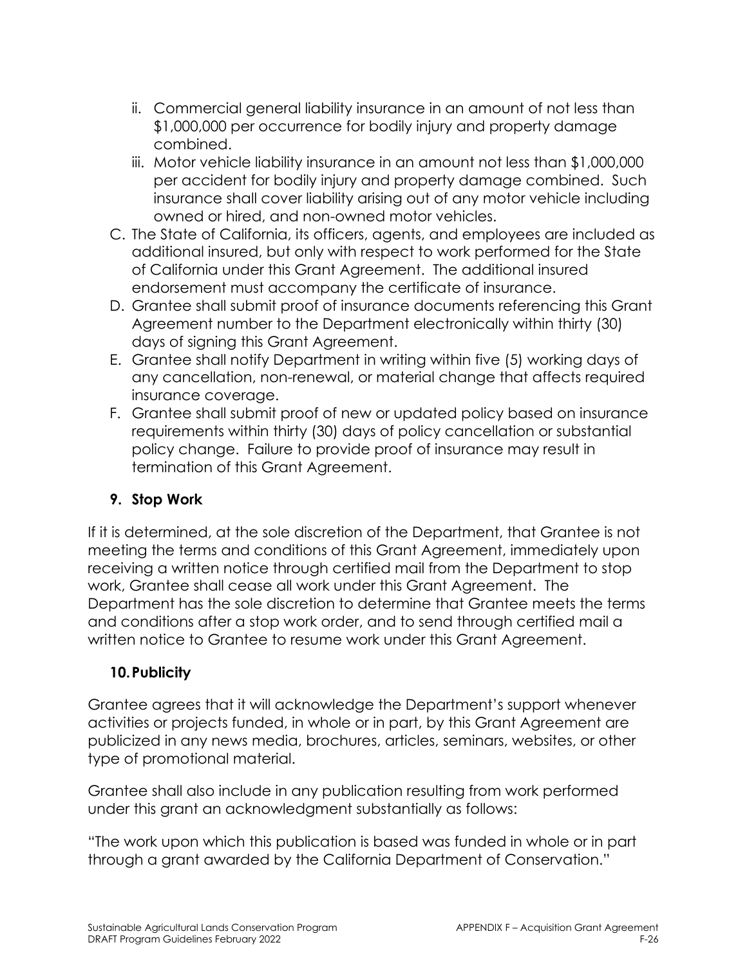- ii. Commercial general liability insurance in an amount of not less than \$1,000,000 per occurrence for bodily injury and property damage combined.
- iii. Motor vehicle liability insurance in an amount not less than \$1,000,000 per accident for bodily injury and property damage combined. Such insurance shall cover liability arising out of any motor vehicle including owned or hired, and non-owned motor vehicles.
- C. The State of California, its officers, agents, and employees are included as additional insured, but only with respect to work performed for the State of California under this Grant Agreement. The additional insured endorsement must accompany the certificate of insurance.
- D. Grantee shall submit proof of insurance documents referencing this Grant Agreement number to the Department electronically within thirty (30) days of signing this Grant Agreement.
- E. Grantee shall notify Department in writing within five (5) working days of any cancellation, non-renewal, or material change that affects required insurance coverage.
- F. Grantee shall submit proof of new or updated policy based on insurance requirements within thirty (30) days of policy cancellation or substantial policy change. Failure to provide proof of insurance may result in termination of this Grant Agreement.

### **9. Stop Work**

If it is determined, at the sole discretion of the Department, that Grantee is not meeting the terms and conditions of this Grant Agreement, immediately upon receiving a written notice through certified mail from the Department to stop work, Grantee shall cease all work under this Grant Agreement. The Department has the sole discretion to determine that Grantee meets the terms and conditions after a stop work order, and to send through certified mail a written notice to Grantee to resume work under this Grant Agreement.

#### **10.Publicity**

Grantee agrees that it will acknowledge the Department's support whenever activities or projects funded, in whole or in part, by this Grant Agreement are publicized in any news media, brochures, articles, seminars, websites, or other type of promotional material.

Grantee shall also include in any publication resulting from work performed under this grant an acknowledgment substantially as follows:

"The work upon which this publication is based was funded in whole or in part through a grant awarded by the California Department of Conservation."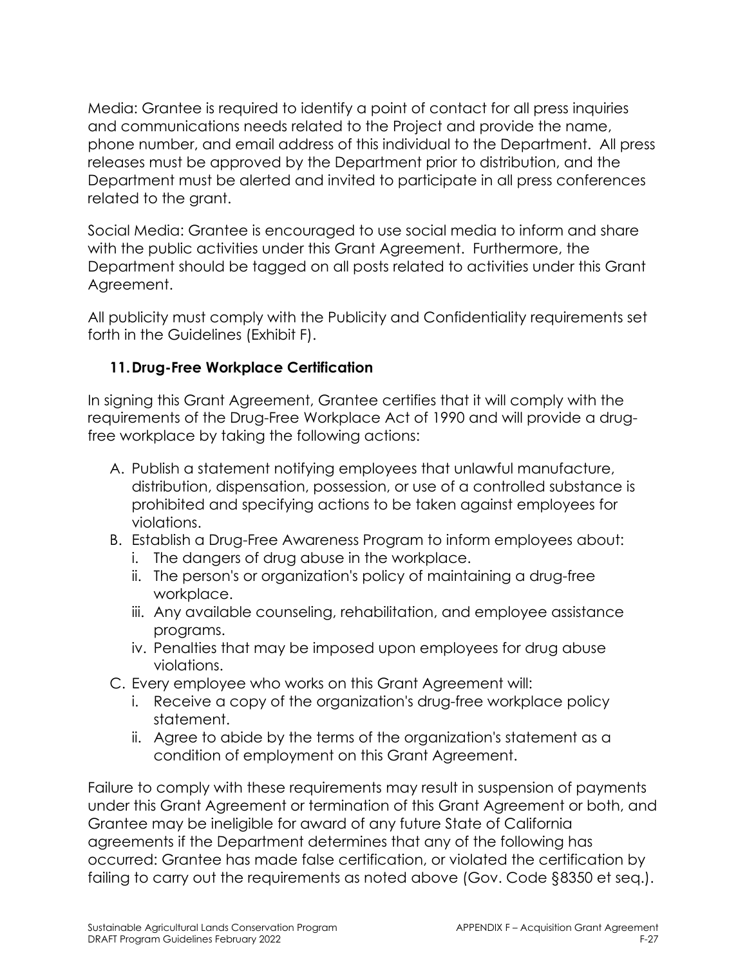Media: Grantee is required to identify a point of contact for all press inquiries and communications needs related to the Project and provide the name, phone number, and email address of this individual to the Department. All press releases must be approved by the Department prior to distribution, and the Department must be alerted and invited to participate in all press conferences related to the grant.

Social Media: Grantee is encouraged to use social media to inform and share with the public activities under this Grant Agreement. Furthermore, the Department should be tagged on all posts related to activities under this Grant Agreement.

All publicity must comply with the Publicity and Confidentiality requirements set forth in the Guidelines (Exhibit F).

### **11.Drug-Free Workplace Certification**

In signing this Grant Agreement, Grantee certifies that it will comply with the requirements of the Drug-Free Workplace Act of 1990 and will provide a drugfree workplace by taking the following actions:

- A. Publish a statement notifying employees that unlawful manufacture, distribution, dispensation, possession, or use of a controlled substance is prohibited and specifying actions to be taken against employees for violations.
- B. Establish a Drug-Free Awareness Program to inform employees about:
	- i. The dangers of drug abuse in the workplace.
	- ii. The person's or organization's policy of maintaining a drug-free workplace.
	- iii. Any available counseling, rehabilitation, and employee assistance programs.
	- iv. Penalties that may be imposed upon employees for drug abuse violations.
- C. Every employee who works on this Grant Agreement will:
	- i. Receive a copy of the organization's drug-free workplace policy statement.
	- ii. Agree to abide by the terms of the organization's statement as a condition of employment on this Grant Agreement.

Failure to comply with these requirements may result in suspension of payments under this Grant Agreement or termination of this Grant Agreement or both, and Grantee may be ineligible for award of any future State of California agreements if the Department determines that any of the following has occurred: Grantee has made false certification, or violated the certification by failing to carry out the requirements as noted above (Gov. Code §8350 et seq.).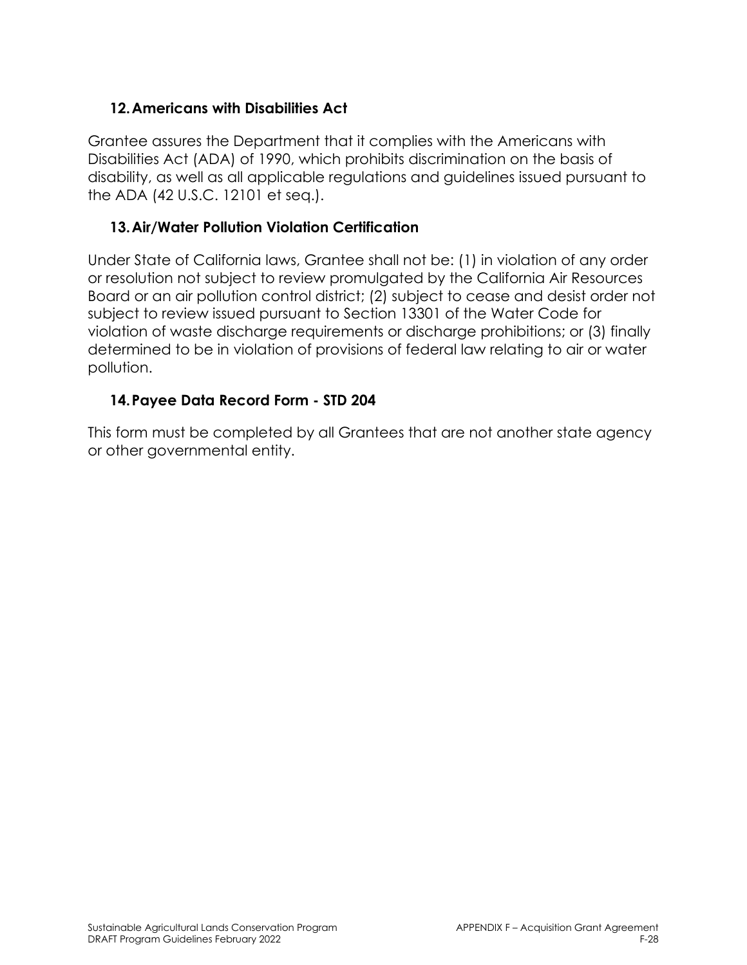#### **12.Americans with Disabilities Act**

Grantee assures the Department that it complies with the Americans with Disabilities Act (ADA) of 1990, which prohibits discrimination on the basis of disability, as well as all applicable regulations and guidelines issued pursuant to the ADA (42 U.S.C. 12101 et seq.).

#### **13.Air/Water Pollution Violation Certification**

Under State of California laws, Grantee shall not be: (1) in violation of any order or resolution not subject to review promulgated by the California Air Resources Board or an air pollution control district; (2) subject to cease and desist order not subject to review issued pursuant to Section 13301 of the Water Code for violation of waste discharge requirements or discharge prohibitions; or (3) finally determined to be in violation of provisions of federal law relating to air or water pollution.

### **14.Payee Data Record Form - STD 204**

This form must be completed by all Grantees that are not another state agency or other governmental entity.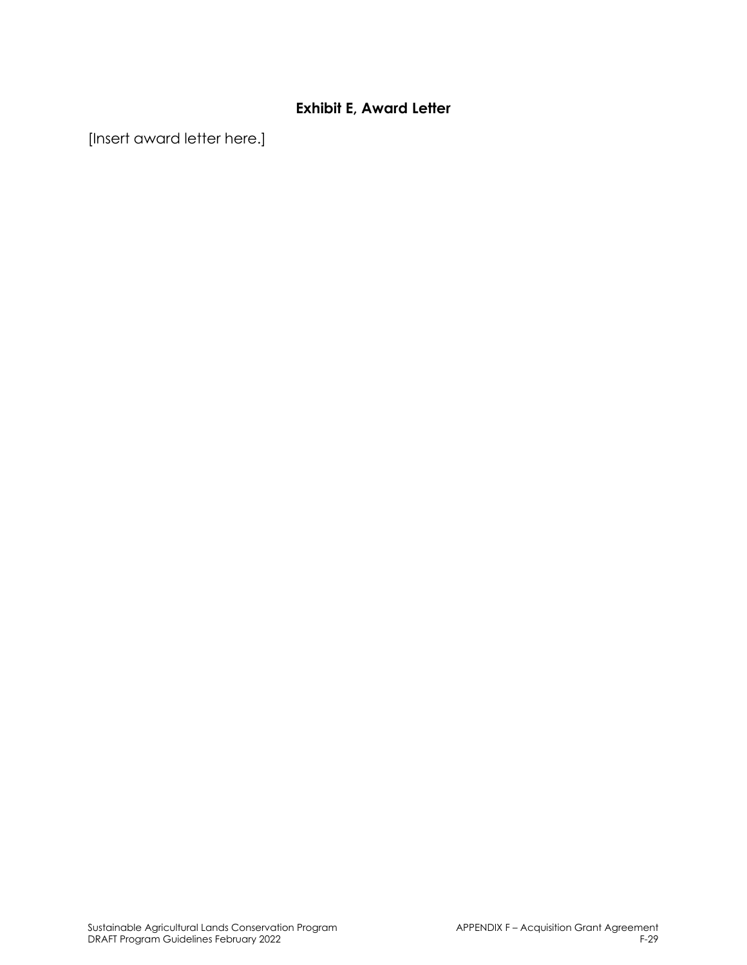### **Exhibit E, Award Letter**

[Insert award letter here.]